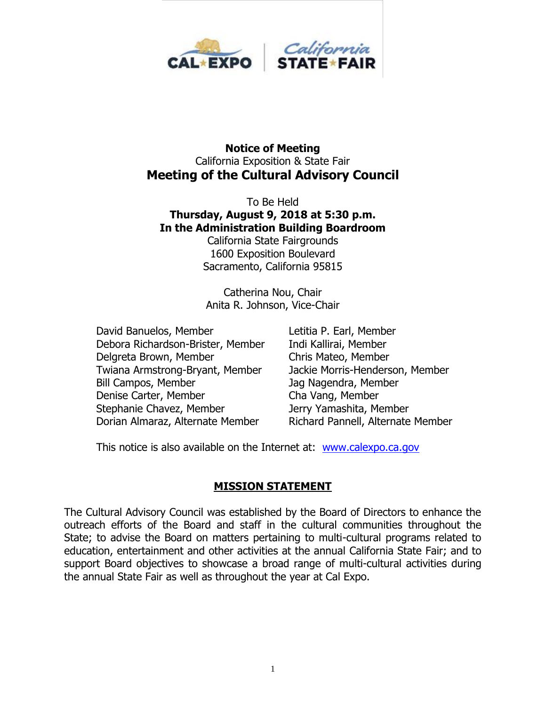

#### **Notice of Meeting** California Exposition & State Fair **Meeting of the Cultural Advisory Council**

To Be Held **Thursday, August 9, 2018 at 5:30 p.m. In the Administration Building Boardroom**

California State Fairgrounds 1600 Exposition Boulevard Sacramento, California 95815

Catherina Nou, Chair Anita R. Johnson, Vice-Chair

David Banuelos, Member Letitia P. Earl, Member Debora Richardson-Brister, Member Indi Kallirai, Member Delgreta Brown, Member Chris Mateo, Member Twiana Armstrong-Bryant, Member Jackie Morris-Henderson, Member Bill Campos, Member Jag Nagendra, Member Denise Carter, Member Cha Vang, Member Stephanie Chavez, Member **Jerry Yamashita, Member** Dorian Almaraz, Alternate Member Richard Pannell, Alternate Member

This notice is also available on the Internet at: [www.calexpo.ca.gov](http://www.calexpo.ca.gov/)

#### **MISSION STATEMENT**

The Cultural Advisory Council was established by the Board of Directors to enhance the outreach efforts of the Board and staff in the cultural communities throughout the State; to advise the Board on matters pertaining to multi-cultural programs related to education, entertainment and other activities at the annual California State Fair; and to support Board objectives to showcase a broad range of multi-cultural activities during the annual State Fair as well as throughout the year at Cal Expo.